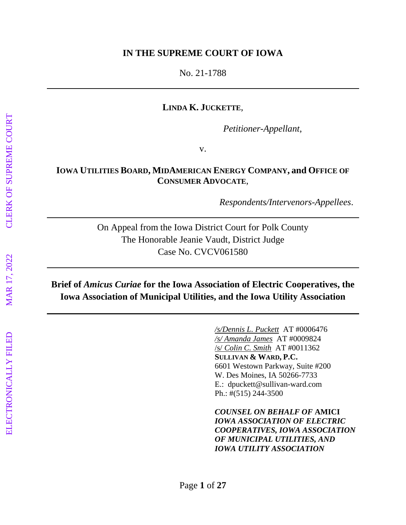#### **IN THE SUPREME COURT OF IOWA**

No. 21-1788

#### **LINDA K. JUCKETTE**,

*Petitioner-Appellant*,

v.

#### **IOWA UTILITIES BOARD, MIDAMERICAN ENERGY COMPANY, and OFFICE OF CONSUMER ADVOCATE**,

*Respondents/Intervenors-Appellees*.

On Appeal from the Iowa District Court for Polk County The Honorable Jeanie Vaudt, District Judge Case No. CVCV061580

# **Brief of** *Amicus Curiae* **for the Iowa Association of Electric Cooperatives, the Iowa Association of Municipal Utilities, and the Iowa Utility Association**

*/s/Dennis L. Puckett* AT #0006476 */s/ Amanda James* AT #0009824 /s/ *Colin C. Smith* AT #0011362 **SULLIVAN & WARD, P.C.** 6601 Westown Parkway, Suite #200 W. Des Moines, IA 50266-7733 E.: dpuckett@sullivan-ward.com Ph.: #(515) 244-3500

*COUNSEL ON BEHALF OF* **AMICI** *IOWA ASSOCIATION OF ELECTRIC COOPERATIVES, IOWA ASSOCIATION OF MUNICIPAL UTILITIES, AND IOWA UTILITY ASSOCIATION*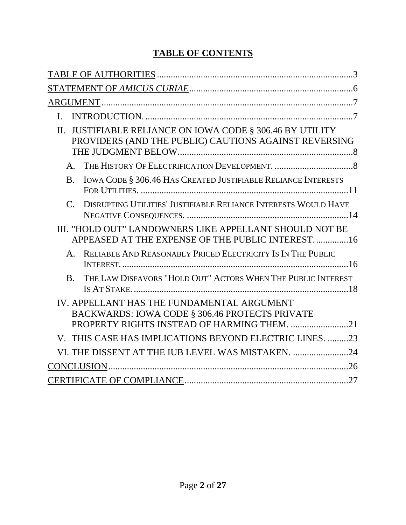# **TABLE OF CONTENTS**

| $\mathbf{L}$                                                                                                              |
|---------------------------------------------------------------------------------------------------------------------------|
| JUSTIFIABLE RELIANCE ON IOWA CODE § 306.46 BY UTILITY<br>$\Pi$ .<br>PROVIDERS (AND THE PUBLIC) CAUTIONS AGAINST REVERSING |
| $\mathsf{A}$ .                                                                                                            |
| IOWA CODE § 306.46 HAS CREATED JUSTIFIABLE RELIANCE INTERESTS<br><b>B.</b>                                                |
| DISRUPTING UTILITIES' JUSTIFIABLE RELIANCE INTERESTS WOULD HAVE<br>$C_{\cdot}$                                            |
| III. "HOLD OUT" LANDOWNERS LIKE APPELLANT SHOULD NOT BE<br>APPEASED AT THE EXPENSE OF THE PUBLIC INTEREST16               |
| RELIABLE AND REASONABLY PRICED ELECTRICITY IS IN THE PUBLIC<br>$\mathsf{A}_{\cdot}$                                       |
| THE LAW DISFAVORS "HOLD OUT" ACTORS WHEN THE PUBLIC INTEREST<br>$\mathbf{B}$ .                                            |
| IV. APPELLANT HAS THE FUNDAMENTAL ARGUMENT<br>BACKWARDS: IOWA CODE § 306.46 PROTECTS PRIVATE                              |
| V. THIS CASE HAS IMPLICATIONS BEYOND ELECTRIC LINES. 23                                                                   |
| VI. THE DISSENT AT THE IUB LEVEL WAS MISTAKEN. 24                                                                         |
|                                                                                                                           |
|                                                                                                                           |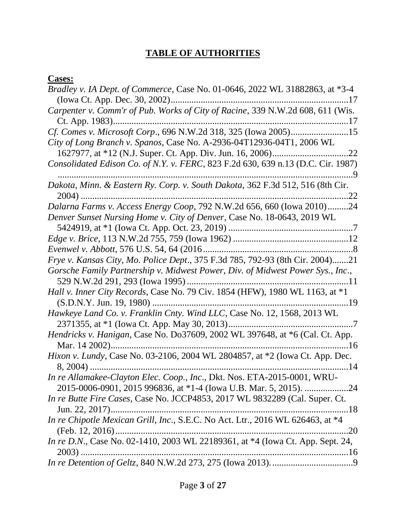# **TABLE OF AUTHORITIES**

### **Cases:**

| ------                                                                                |
|---------------------------------------------------------------------------------------|
| Bradley v. IA Dept. of Commerce, Case No. 01-0646, 2022 WL 31882863, at *3-4          |
|                                                                                       |
| Carpenter v. Comm'r of Pub. Works of City of Racine, 339 N.W.2d 608, 611 (Wis.        |
|                                                                                       |
|                                                                                       |
| City of Long Branch v. Spanos, Case No. A-2936-04T12936-04T1, 2006 WL                 |
|                                                                                       |
| Consolidated Edison Co. of N.Y. v. FERC, 823 F.2d 630, 639 n.13 (D.C. Cir. 1987)<br>9 |
| Dakota, Minn. & Eastern Ry. Corp. v. South Dakota, 362 F.3d 512, 516 (8th Cir.        |
| $\ldots$ 22                                                                           |
| Dalarna Farms v. Access Energy Coop, 792 N.W.2d 656, 660 (Iowa 2010)24                |
| Denver Sunset Nursing Home v. City of Denver, Case No. 18-0643, 2019 WL               |
|                                                                                       |
|                                                                                       |
|                                                                                       |
| Frye v. Kansas City, Mo. Police Dept., 375 F.3d 785, 792-93 (8th Cir. 2004)21         |
| Gorsche Family Partnership v. Midwest Power, Div. of Midwest Power Sys., Inc.,        |
| Hall v. Inner City Records, Case No. 79 Civ. 1854 (HFW), 1980 WL 1163, at *1          |
|                                                                                       |
| Hawkeye Land Co. v. Franklin Cnty. Wind LLC, Case No. 12, 1568, 2013 WL               |
|                                                                                       |
| Hendricks v. Hanigan, Case No. Do37609, 2002 WL 397648, at *6 (Cal. Ct. App.          |
| 16                                                                                    |
| Hixon v. Lundy, Case No. 03-2106, 2004 WL 2804857, at *2 (Iowa Ct. App. Dec.          |
|                                                                                       |
| In re Allamakee-Clayton Elec. Coop., Inc., Dkt. Nos. ETA-2015-0001, WRU-              |
|                                                                                       |
| In re Butte Fire Cases, Case No. JCCP4853, 2017 WL 9832289 (Cal. Super. Ct.           |
| Jun. 22, 2017)<br>18                                                                  |
| In re Chipotle Mexican Grill, Inc., S.E.C. No Act. Ltr., 2016 WL 626463, at *4        |
| (Feb. 12, 2016)<br>20                                                                 |
| In re D.N., Case No. 02-1410, 2003 WL 22189361, at *4 (Iowa Ct. App. Sept. 24,        |
|                                                                                       |
|                                                                                       |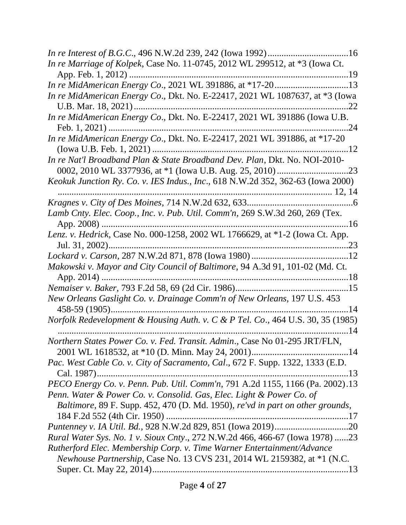| In re Marriage of Kolpek, Case No. 11-0745, 2012 WL 299512, at *3 (Iowa Ct.            |
|----------------------------------------------------------------------------------------|
|                                                                                        |
|                                                                                        |
| In re MidAmerican Energy Co., Dkt. No. E-22417, 2021 WL 1087637, at *3 (Iowa           |
|                                                                                        |
| In re MidAmerican Energy Co., Dkt. No. E-22417, 2021 WL 391886 (Iowa U.B.              |
| $\dots$ 24                                                                             |
| In re MidAmerican Energy Co., Dkt. No. E-22417, 2021 WL 391886, at *17-20              |
|                                                                                        |
| In re Nat'l Broadband Plan & State Broadband Dev. Plan, Dkt. No. NOI-2010-             |
|                                                                                        |
| <i>Keokuk Junction Ry. Co. v. IES Indus., Inc., 618 N.W.2d 352, 362-63 (Iowa 2000)</i> |
|                                                                                        |
|                                                                                        |
| Lamb Cnty. Elec. Coop., Inc. v. Pub. Util. Comm'n, 269 S.W.3d 260, 269 (Tex.           |
| App. 2008)<br>. 16                                                                     |
| Lenz. v. Hedrick, Case No. 000-1258, 2002 WL 1766629, at *1-2 (Iowa Ct. App.           |
|                                                                                        |
|                                                                                        |
| Makowski v. Mayor and City Council of Baltimore, 94 A.3d 91, 101-02 (Md. Ct.           |
|                                                                                        |
|                                                                                        |
| New Orleans Gaslight Co. v. Drainage Comm'n of New Orleans, 197 U.S. 453               |
|                                                                                        |
| Norfolk Redevelopment & Housing Auth. v. C & P Tel. Co., 464 U.S. 30, 35 (1985)        |
| 14                                                                                     |
| Northern States Power Co. v. Fed. Transit. Admin., Case No 01-295 JRT/FLN,             |
|                                                                                        |
| Pac. West Cable Co. v. City of Sacramento, Cal., 672 F. Supp. 1322, 1333 (E.D.         |
| Cal. 1987)                                                                             |
| PECO Energy Co. v. Penn. Pub. Util. Comm'n, 791 A.2d 1155, 1166 (Pa. 2002).13          |
| Penn. Water & Power Co. v. Consolid. Gas, Elec. Light & Power Co. of                   |
| Baltimore, 89 F. Supp. 452, 470 (D. Md. 1950), re'vd in part on other grounds,         |
|                                                                                        |
|                                                                                        |
| Rural Water Sys. No. 1 v. Sioux Cnty., 272 N.W.2d 466, 466-67 (Iowa 1978) 23           |
| Rutherford Elec. Membership Corp. v. Time Warner Entertainment/Advance                 |
| <i>Newhouse Partnership, Case No. 13 CVS 231, 2014 WL 2159382, at *1 (N.C.</i>         |
|                                                                                        |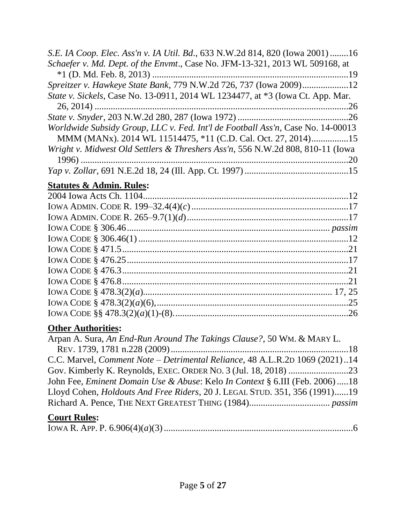| S.E. IA Coop. Elec. Ass'n v. IA Util. Bd., 633 N.W.2d 814, 820 (Iowa 2001) 16         |  |
|---------------------------------------------------------------------------------------|--|
| Schaefer v. Md. Dept. of the Envmt., Case No. JFM-13-321, 2013 WL 509168, at          |  |
|                                                                                       |  |
| <i>Spreitzer v. Hawkeye State Bank, 779 N.W.2d 726, 737 (Iowa 2009)12</i>             |  |
| <i>State v. Sickels, Case No.</i> 13-0911, 2014 WL 1234477, at *3 (Iowa Ct. App. Mar. |  |
|                                                                                       |  |
|                                                                                       |  |
| Worldwide Subsidy Group, LLC v. Fed. Int'l de Football Ass'n, Case No. 14-00013       |  |
| MMM (MANx). 2014 WL 11514475, *11 (C.D. Cal. Oct. 27, 2014)15                         |  |
| Wright v. Midwest Old Settlers & Threshers Ass'n, 556 N.W.2d 808, 810-11 (Iowa        |  |
|                                                                                       |  |
|                                                                                       |  |
| $\mathbf{C}$                                                                          |  |

# **Statutes & Admin. Rules:**

# **Other Authorities:**

| Arpan A. Sura, An End-Run Around The Takings Clause?, 50 WM. & MARY L.                  |  |
|-----------------------------------------------------------------------------------------|--|
|                                                                                         |  |
| C.C. Marvel, <i>Comment Note – Detrimental Reliance</i> , 48 A.L.R.2D 1069 (2021)14     |  |
|                                                                                         |  |
| John Fee, <i>Eminent Domain Use &amp; Abuse: Kelo In Context</i> § 6.III (Feb. 2006) 18 |  |
| Lloyd Cohen, <i>Holdouts And Free Riders</i> , 20 J. LEGAL STUD. 351, 356 (1991)19      |  |
|                                                                                         |  |
| <b>Court Rules:</b>                                                                     |  |

|--|--|--|--|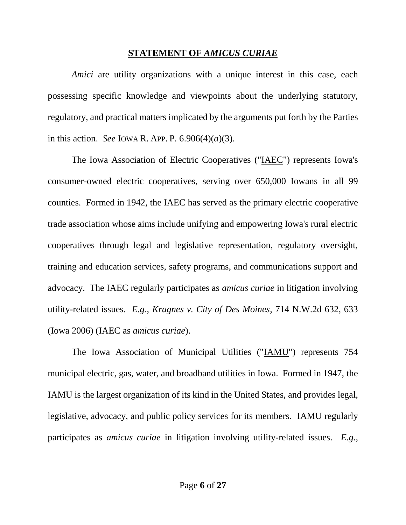#### **STATEMENT OF** *AMICUS CURIAE*

*Amici* are utility organizations with a unique interest in this case, each possessing specific knowledge and viewpoints about the underlying statutory, regulatory, and practical matters implicated by the arguments put forth by the Parties in this action. *See* IOWA R. APP. P. 6.906(4)(*a*)(3).

The Iowa Association of Electric Cooperatives ("IAEC") represents Iowa's consumer-owned electric cooperatives, serving over 650,000 Iowans in all 99 counties. Formed in 1942, the IAEC has served as the primary electric cooperative trade association whose aims include unifying and empowering Iowa's rural electric cooperatives through legal and legislative representation, regulatory oversight, training and education services, safety programs, and communications support and advocacy. The IAEC regularly participates as *amicus curiae* in litigation involving utility-related issues. *E.g*., *Kragnes v. City of Des Moines*, 714 N.W.2d 632, 633 (Iowa 2006) (IAEC as *amicus curiae*).

The Iowa Association of Municipal Utilities ("IAMU") represents 754 municipal electric, gas, water, and broadband utilities in Iowa. Formed in 1947, the IAMU is the largest organization of its kind in the United States, and provides legal, legislative, advocacy, and public policy services for its members. IAMU regularly participates as *amicus curiae* in litigation involving utility-related issues. *E.g*.,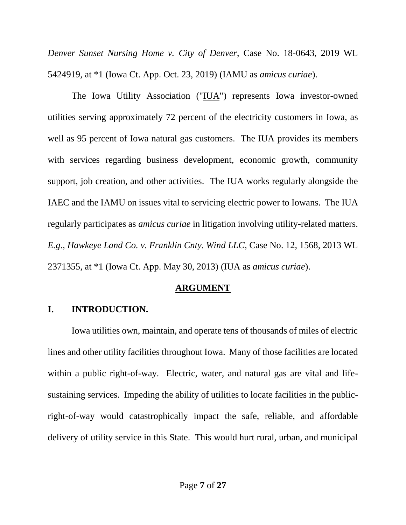*Denver Sunset Nursing Home v. City of Denver*, Case No. 18-0643, 2019 WL 5424919, at \*1 (Iowa Ct. App. Oct. 23, 2019) (IAMU as *amicus curiae*).

The Iowa Utility Association ("IUA") represents Iowa investor-owned utilities serving approximately 72 percent of the electricity customers in Iowa, as well as 95 percent of Iowa natural gas customers. The IUA provides its members with services regarding business development, economic growth, community support, job creation, and other activities. The IUA works regularly alongside the IAEC and the IAMU on issues vital to servicing electric power to Iowans. The IUA regularly participates as *amicus curiae* in litigation involving utility-related matters. *E.g*., *Hawkeye Land Co. v. Franklin Cnty. Wind LLC*, Case No. 12, 1568, 2013 WL 2371355, at \*1 (Iowa Ct. App. May 30, 2013) (IUA as *amicus curiae*).

### **ARGUMENT**

# **I. INTRODUCTION.**

Iowa utilities own, maintain, and operate tens of thousands of miles of electric lines and other utility facilities throughout Iowa. Many of those facilities are located within a public right-of-way. Electric, water, and natural gas are vital and lifesustaining services. Impeding the ability of utilities to locate facilities in the publicright-of-way would catastrophically impact the safe, reliable, and affordable delivery of utility service in this State. This would hurt rural, urban, and municipal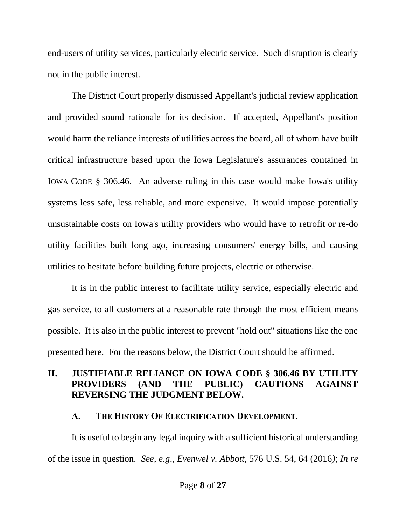end-users of utility services, particularly electric service. Such disruption is clearly not in the public interest.

The District Court properly dismissed Appellant's judicial review application and provided sound rationale for its decision. If accepted, Appellant's position would harm the reliance interests of utilities across the board, all of whom have built critical infrastructure based upon the Iowa Legislature's assurances contained in IOWA CODE § 306.46. An adverse ruling in this case would make Iowa's utility systems less safe, less reliable, and more expensive. It would impose potentially unsustainable costs on Iowa's utility providers who would have to retrofit or re-do utility facilities built long ago, increasing consumers' energy bills, and causing utilities to hesitate before building future projects, electric or otherwise.

It is in the public interest to facilitate utility service, especially electric and gas service, to all customers at a reasonable rate through the most efficient means possible. It is also in the public interest to prevent "hold out" situations like the one presented here. For the reasons below, the District Court should be affirmed.

### **II. JUSTIFIABLE RELIANCE ON IOWA CODE § 306.46 BY UTILITY PROVIDERS (AND THE PUBLIC) CAUTIONS AGAINST REVERSING THE JUDGMENT BELOW.**

### **A. THE HISTORY OF ELECTRIFICATION DEVELOPMENT.**

It is useful to begin any legal inquiry with a sufficient historical understanding of the issue in question. *See*, *e.g*., *Evenwel v. Abbott*, 576 U.S. 54, 64 (2016*)*; *In re*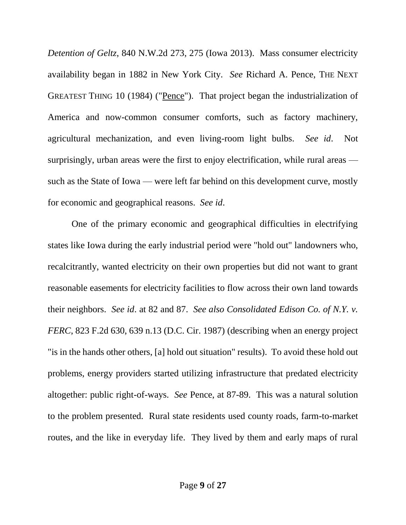*Detention of Geltz*, 840 N.W.2d 273, 275 (Iowa 2013). Mass consumer electricity availability began in 1882 in New York City. *See* Richard A. Pence, THE NEXT GREATEST THING 10 (1984) ("Pence"). That project began the industrialization of America and now-common consumer comforts, such as factory machinery, agricultural mechanization, and even living-room light bulbs. *See id*. Not surprisingly, urban areas were the first to enjoy electrification, while rural areas such as the State of Iowa — were left far behind on this development curve, mostly for economic and geographical reasons. *See id*.

One of the primary economic and geographical difficulties in electrifying states like Iowa during the early industrial period were "hold out" landowners who, recalcitrantly, wanted electricity on their own properties but did not want to grant reasonable easements for electricity facilities to flow across their own land towards their neighbors. *See id*. at 82 and 87. *See also Consolidated Edison Co. of N.Y. v. FERC*, 823 F.2d 630, 639 n.13 (D.C. Cir. 1987) (describing when an energy project "is in the hands other others, [a] hold out situation" results). To avoid these hold out problems, energy providers started utilizing infrastructure that predated electricity altogether: public right-of-ways. *See* Pence, at 87-89. This was a natural solution to the problem presented. Rural state residents used county roads, farm-to-market routes, and the like in everyday life. They lived by them and early maps of rural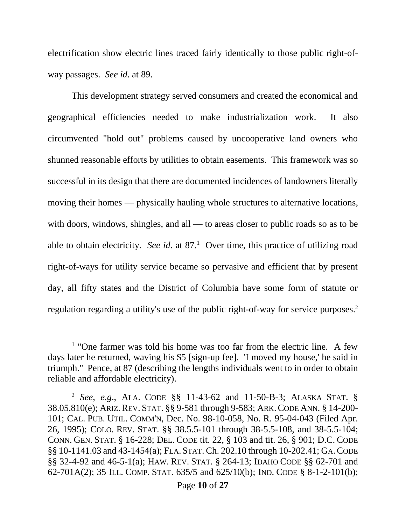electrification show electric lines traced fairly identically to those public right-ofway passages. *See id*. at 89.

This development strategy served consumers and created the economical and geographical efficiencies needed to make industrialization work. It also circumvented "hold out" problems caused by uncooperative land owners who shunned reasonable efforts by utilities to obtain easements. This framework was so successful in its design that there are documented incidences of landowners literally moving their homes — physically hauling whole structures to alternative locations, with doors, windows, shingles, and all — to areas closer to public roads so as to be able to obtain electricity. *See id.* at  $87<sup>1</sup>$  Over time, this practice of utilizing road right-of-ways for utility service became so pervasive and efficient that by present day, all fifty states and the District of Columbia have some form of statute or regulation regarding a utility's use of the public right-of-way for service purposes.<sup>2</sup>

l

<sup>&</sup>lt;sup>1</sup> "One farmer was told his home was too far from the electric line. A few days later he returned, waving his \$5 [sign-up fee]. 'I moved my house,' he said in triumph." Pence, at 87 (describing the lengths individuals went to in order to obtain reliable and affordable electricity).

<sup>2</sup> *See*, *e.g*., ALA. CODE §§ 11-43-62 and 11-50-B-3; ALASKA STAT. § 38.05.810(e); ARIZ.REV. STAT. §§ 9-581 through 9-583; ARK.CODE ANN. § 14-200- 101; CAL. PUB. UTIL. COMM'N, Dec. No. 98-10-058, No. R. 95-04-043 (Filed Apr. 26, 1995); COLO. REV. STAT. §§ 38.5.5-101 through 38-5.5-108, and 38-5.5-104; CONN. GEN. STAT. § 16-228; DEL. CODE tit. 22, § 103 and tit. 26, § 901; D.C. CODE §§ 10-1141.03 and 43-1454(a); FLA. STAT. Ch. 202.10 through 10-202.41; GA.CODE §§ 32-4-92 and 46-5-1(a); HAW. REV. STAT. § 264-13; IDAHO CODE §§ 62-701 and 62-701A(2); 35 ILL. COMP. STAT. 635/5 and 625/10(b); IND. CODE § 8-1-2-101(b);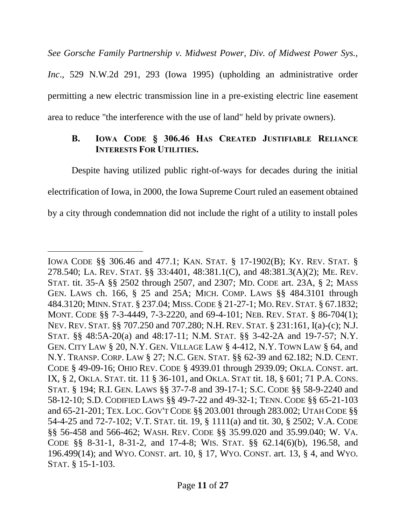*See Gorsche Family Partnership v. Midwest Power, Div. of Midwest Power Sys., Inc*., 529 N.W.2d 291, 293 (Iowa 1995) (upholding an administrative order permitting a new electric transmission line in a pre-existing electric line easement area to reduce "the interference with the use of land" held by private owners).

### **B. IOWA CODE § 306.46 HAS CREATED JUSTIFIABLE RELIANCE INTERESTS FOR UTILITIES.**

Despite having utilized public right-of-ways for decades during the initial electrification of Iowa, in 2000, the Iowa Supreme Court ruled an easement obtained by a city through condemnation did not include the right of a utility to install poles

 $\overline{a}$ 

IOWA CODE §§ 306.46 and 477.1; KAN. STAT. § 17-1902(B); KY. REV. STAT. § 278.540; LA. REV. STAT. §§ 33:4401, 48:381.1(C), and 48:381.3(A)(2); ME. REV. STAT. tit. 35-A §§ 2502 through 2507, and 2307; MD. CODE art. 23A, § 2; MASS GEN. LAWS ch. 166, § 25 and 25A; MICH. COMP. LAWS §§ 484.3101 through 484.3120; MINN. STAT. § 237.04; MISS.CODE § 21-27-1; MO.REV. STAT. § 67.1832; MONT. CODE §§ 7-3-4449, 7-3-2220, and 69-4-101; NEB. REV. STAT. § 86-704(1); NEV. REV. STAT. §§ 707.250 and 707.280; N.H. REV. STAT. § 231:161, I(a)-(c); N.J. STAT. §§ 48:5A-20(a) and 48:17-11; N.M. STAT. §§ 3-42-2A and 19-7-57; N.Y. GEN. CITY LAW § 20, N.Y. GEN. VILLAGE LAW § 4-412, N.Y. TOWN LAW § 64, and N.Y. TRANSP. CORP. LAW § 27; N.C. GEN. STAT. §§ 62-39 and 62.182; N.D. CENT. CODE § 49-09-16; OHIO REV. CODE § 4939.01 through 2939.09; OKLA. CONST. art. IX, § 2, OKLA. STAT. tit. 11 § 36-101, and OKLA. STAT tit. 18, § 601; 71 P.A. CONS. STAT. § 194; R.I. GEN. LAWS §§ 37-7-8 and 39-17-1; S.C. CODE §§ 58-9-2240 and 58-12-10; S.D. CODIFIED LAWS §§ 49-7-22 and 49-32-1; TENN. CODE §§ 65-21-103 and 65-21-201; TEX. LOC. GOV'T CODE §§ 203.001 through 283.002; UTAH CODE §§ 54-4-25 and 72-7-102; V.T. STAT. tit. 19, § 1111(a) and tit. 30, § 2502; V.A. CODE §§ 56-458 and 566-462; WASH. REV. CODE §§ 35.99.020 and 35.99.040; W. VA. CODE §§ 8-31-1, 8-31-2, and 17-4-8; WIS. STAT. §§ 62.14(6)(b), 196.58, and 196.499(14); and WYO. CONST. art. 10, § 17, WYO. CONST. art. 13, § 4, and WYO. STAT. § 15-1-103.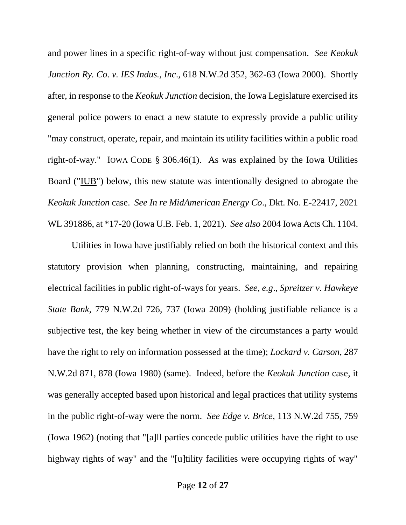and power lines in a specific right-of-way without just compensation. *See Keokuk Junction Ry. Co. v. IES Indus., Inc*., 618 N.W.2d 352, 362-63 (Iowa 2000). Shortly after, in response to the *Keokuk Junction* decision, the Iowa Legislature exercised its general police powers to enact a new statute to expressly provide a public utility "may construct, operate, repair, and maintain its utility facilities within a public road right-of-way." IOWA CODE § 306.46(1). As was explained by the Iowa Utilities Board ("IUB") below, this new statute was intentionally designed to abrogate the *Keokuk Junction* case. *See In re MidAmerican Energy Co*., Dkt. No. E-22417, 2021 WL 391886, at \*17-20 (Iowa U.B. Feb. 1, 2021). *See also* 2004 Iowa Acts Ch. 1104.

Utilities in Iowa have justifiably relied on both the historical context and this statutory provision when planning, constructing, maintaining, and repairing electrical facilities in public right-of-ways for years. *See*, *e.g*., *Spreitzer v. Hawkeye State Bank*, 779 N.W.2d 726, 737 (Iowa 2009) (holding justifiable reliance is a subjective test, the key being whether in view of the circumstances a party would have the right to rely on information possessed at the time); *Lockard v. Carson*, 287 N.W.2d 871, 878 (Iowa 1980) (same). Indeed, before the *Keokuk Junction* case, it was generally accepted based upon historical and legal practices that utility systems in the public right-of-way were the norm. *See Edge v. Brice*, 113 N.W.2d 755, 759 (Iowa 1962) (noting that "[a]ll parties concede public utilities have the right to use highway rights of way" and the "[u]tility facilities were occupying rights of way"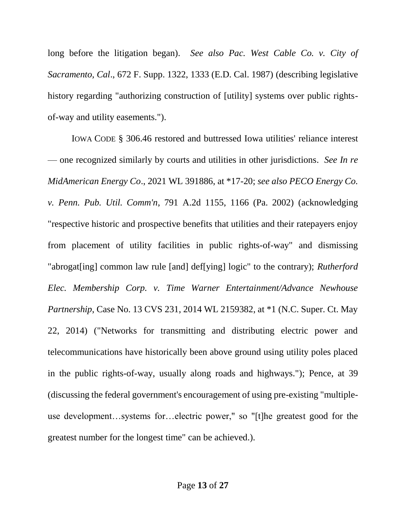long before the litigation began). *See also Pac. West Cable Co. v. City of Sacramento, Cal*., 672 F. Supp. 1322, 1333 (E.D. Cal. 1987) (describing legislative history regarding "authorizing construction of [utility] systems over public rightsof-way and utility easements.").

IOWA CODE § 306.46 restored and buttressed Iowa utilities' reliance interest — one recognized similarly by courts and utilities in other jurisdictions. *See In re MidAmerican Energy Co*., 2021 WL 391886, at \*17-20; *see also PECO Energy Co. v. Penn. Pub. Util. Comm'n*, 791 A.2d 1155, 1166 (Pa. 2002) (acknowledging "respective historic and prospective benefits that utilities and their ratepayers enjoy from placement of utility facilities in public rights-of-way" and dismissing "abrogat[ing] common law rule [and] def[ying] logic" to the contrary); *Rutherford Elec. Membership Corp. v. Time Warner Entertainment/Advance Newhouse Partnership*, Case No. 13 CVS 231, 2014 WL 2159382, at \*1 (N.C. Super. Ct. May 22, 2014) ("Networks for transmitting and distributing electric power and telecommunications have historically been above ground using utility poles placed in the public rights-of-way, usually along roads and highways."); Pence, at 39 (discussing the federal government's encouragement of using pre-existing "multipleuse development…systems for…electric power," so "[t]he greatest good for the greatest number for the longest time" can be achieved.).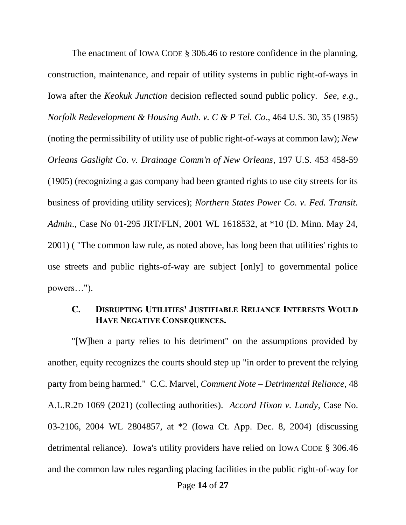The enactment of IOWA CODE § 306.46 to restore confidence in the planning, construction, maintenance, and repair of utility systems in public right-of-ways in Iowa after the *Keokuk Junction* decision reflected sound public policy. *See*, *e.g*., *Norfolk Redevelopment & Housing Auth. v. C & P Tel. Co*., 464 U.S. 30, 35 (1985) (noting the permissibility of utility use of public right-of-ways at common law); *New Orleans Gaslight Co. v. Drainage Comm'n of New Orleans*, 197 U.S. 453 458-59 (1905) (recognizing a gas company had been granted rights to use city streets for its business of providing utility services); *Northern States Power Co. v. Fed. Transit. Admin*., Case No 01-295 JRT/FLN, 2001 WL 1618532, at \*10 (D. Minn. May 24, 2001) ( "The common law rule, as noted above, has long been that utilities' rights to use streets and public rights-of-way are subject [only] to governmental police powers…").

#### **C. DISRUPTING UTILITIES' JUSTIFIABLE RELIANCE INTERESTS WOULD HAVE NEGATIVE CONSEQUENCES.**

"[W]hen a party relies to his detriment" on the assumptions provided by another, equity recognizes the courts should step up "in order to prevent the relying party from being harmed." C.C. Marvel, *Comment Note* – *Detrimental Reliance*, 48 A.L.R.2D 1069 (2021) (collecting authorities). *Accord Hixon v. Lundy*, Case No. 03-2106, 2004 WL 2804857, at \*2 (Iowa Ct. App. Dec. 8, 2004) (discussing detrimental reliance). Iowa's utility providers have relied on IOWA CODE § 306.46 and the common law rules regarding placing facilities in the public right-of-way for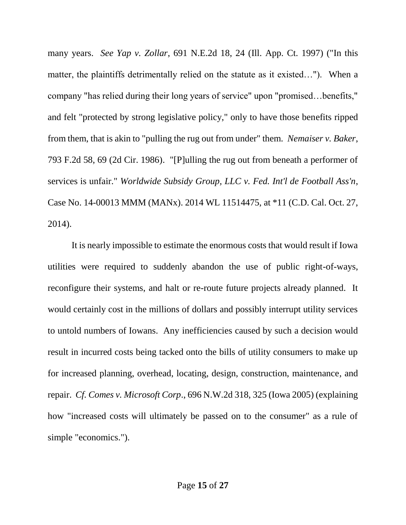many years. *See Yap v. Zollar*, 691 N.E.2d 18, 24 (Ill. App. Ct. 1997) ("In this matter, the plaintiffs detrimentally relied on the statute as it existed…"). When a company "has relied during their long years of service" upon "promised…benefits," and felt "protected by strong legislative policy," only to have those benefits ripped from them, that is akin to "pulling the rug out from under" them. *Nemaiser v. Baker*, 793 F.2d 58, 69 (2d Cir. 1986). "[P]ulling the rug out from beneath a performer of services is unfair." *Worldwide Subsidy Group, LLC v. Fed. Int'l de Football Ass'n*, Case No. 14-00013 MMM (MANx). 2014 WL 11514475, at \*11 (C.D. Cal. Oct. 27, 2014).

It is nearly impossible to estimate the enormous costs that would result if Iowa utilities were required to suddenly abandon the use of public right-of-ways, reconfigure their systems, and halt or re-route future projects already planned. It would certainly cost in the millions of dollars and possibly interrupt utility services to untold numbers of Iowans. Any inefficiencies caused by such a decision would result in incurred costs being tacked onto the bills of utility consumers to make up for increased planning, overhead, locating, design, construction, maintenance, and repair. *Cf. Comes v. Microsoft Corp*., 696 N.W.2d 318, 325 (Iowa 2005) (explaining how "increased costs will ultimately be passed on to the consumer" as a rule of simple "economics.").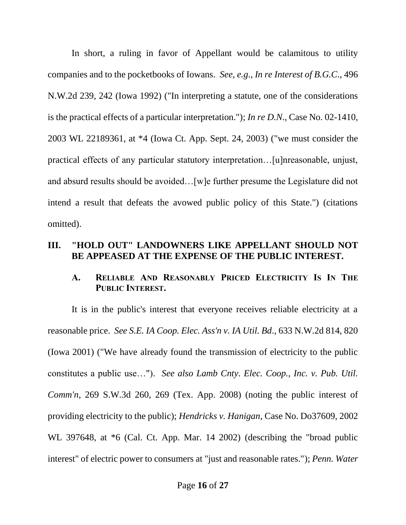In short, a ruling in favor of Appellant would be calamitous to utility companies and to the pocketbooks of Iowans. *See*, *e.g*., *In re Interest of B.G.C*., 496 N.W.2d 239, 242 (Iowa 1992) ("In interpreting a statute, one of the considerations is the practical effects of a particular interpretation."); *In re D.N*., Case No. 02-1410, 2003 WL 22189361, at \*4 (Iowa Ct. App. Sept. 24, 2003) ("we must consider the practical effects of any particular statutory interpretation…[u]nreasonable, unjust, and absurd results should be avoided…[w]e further presume the Legislature did not intend a result that defeats the avowed public policy of this State.") (citations omitted).

#### **III. "HOLD OUT" LANDOWNERS LIKE APPELLANT SHOULD NOT BE APPEASED AT THE EXPENSE OF THE PUBLIC INTEREST.**

### **A. RELIABLE AND REASONABLY PRICED ELECTRICITY IS IN THE PUBLIC INTEREST.**

It is in the public's interest that everyone receives reliable electricity at a reasonable price. *See S.E. IA Coop. Elec. Ass'n v. IA Util. Bd*., 633 N.W.2d 814, 820 (Iowa 2001) ("We have already found the transmission of electricity to the public constitutes a public use…"). *See also Lamb Cnty. Elec. Coop., Inc. v. Pub. Util. Comm'n*, 269 S.W.3d 260, 269 (Tex. App. 2008) (noting the public interest of providing electricity to the public); *Hendricks v. Hanigan*, Case No. Do37609, 2002 WL 397648, at \*6 (Cal. Ct. App. Mar. 14 2002) (describing the "broad public interest" of electric power to consumers at "just and reasonable rates."); *Penn. Water*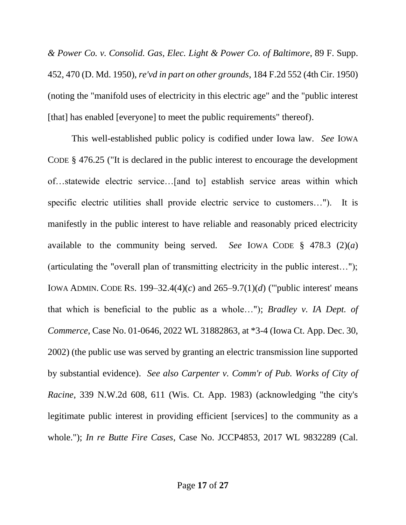*& Power Co. v. Consolid. Gas, Elec. Light & Power Co. of Baltimore*, 89 F. Supp. 452, 470 (D. Md. 1950), *re'vd in part on other grounds*, 184 F.2d 552 (4th Cir. 1950) (noting the "manifold uses of electricity in this electric age" and the "public interest [that] has enabled [everyone] to meet the public requirements" thereof).

This well-established public policy is codified under Iowa law. *See* IOWA CODE § 476.25 ("It is declared in the public interest to encourage the development of…statewide electric service…[and to] establish service areas within which specific electric utilities shall provide electric service to customers…"). It is manifestly in the public interest to have reliable and reasonably priced electricity available to the community being served. *See* IOWA CODE § 478.3 (2)(*a*) (articulating the "overall plan of transmitting electricity in the public interest…"); IOWA ADMIN. CODE RS. 199–32.4(4)(*c*) and 265–9.7(1)(*d*) ("'public interest' means that which is beneficial to the public as a whole…"); *Bradley v. IA Dept. of Commerce*, Case No. 01-0646, 2022 WL 31882863, at \*3-4 (Iowa Ct. App. Dec. 30, 2002) (the public use was served by granting an electric transmission line supported by substantial evidence). *See also Carpenter v. Comm'r of Pub. Works of City of Racine*, 339 N.W.2d 608, 611 (Wis. Ct. App. 1983) (acknowledging "the city's legitimate public interest in providing efficient [services] to the community as a whole."); *In re Butte Fire Cases*, Case No. JCCP4853, 2017 WL 9832289 (Cal.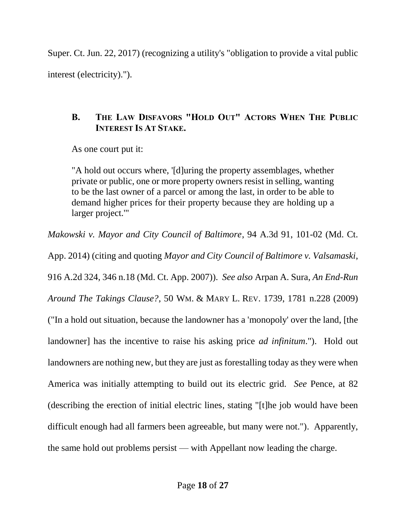Super. Ct. Jun. 22, 2017) (recognizing a utility's "obligation to provide a vital public interest (electricity).").

# **B. THE LAW DISFAVORS "HOLD OUT" ACTORS WHEN THE PUBLIC INTEREST IS AT STAKE.**

As one court put it:

"A hold out occurs where, '[d]uring the property assemblages, whether private or public, one or more property owners resist in selling, wanting to be the last owner of a parcel or among the last, in order to be able to demand higher prices for their property because they are holding up a larger project.'"

*Makowski v. Mayor and City Council of Baltimore*, 94 A.3d 91, 101-02 (Md. Ct.

App. 2014) (citing and quoting *Mayor and City Council of Baltimore v. Valsamaski*, 916 A.2d 324, 346 n.18 (Md. Ct. App. 2007)). *See also* Arpan A. Sura, *An End-Run Around The Takings Clause?*, 50 WM. & MARY L. REV. 1739, 1781 n.228 (2009) ("In a hold out situation, because the landowner has a 'monopoly' over the land, [the landowner] has the incentive to raise his asking price *ad infinitum*."). Hold out landowners are nothing new, but they are just as forestalling today as they were when America was initially attempting to build out its electric grid. *See* Pence, at 82 (describing the erection of initial electric lines, stating "[t]he job would have been difficult enough had all farmers been agreeable, but many were not."). Apparently, the same hold out problems persist — with Appellant now leading the charge.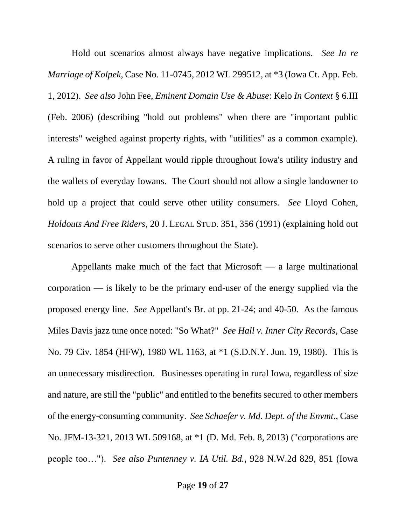Hold out scenarios almost always have negative implications. *See In re Marriage of Kolpek*, Case No. 11-0745, 2012 WL 299512, at \*3 (Iowa Ct. App. Feb. 1, 2012). *See also* John Fee, *Eminent Domain Use & Abuse*: Kelo *In Context* § 6.III (Feb. 2006) (describing "hold out problems" when there are "important public interests" weighed against property rights, with "utilities" as a common example). A ruling in favor of Appellant would ripple throughout Iowa's utility industry and the wallets of everyday Iowans. The Court should not allow a single landowner to hold up a project that could serve other utility consumers. *See* Lloyd Cohen, *Holdouts And Free Riders*, 20 J. LEGAL STUD. 351, 356 (1991) (explaining hold out scenarios to serve other customers throughout the State).

Appellants make much of the fact that Microsoft — a large multinational corporation — is likely to be the primary end-user of the energy supplied via the proposed energy line. *See* Appellant's Br. at pp. 21-24; and 40-50. As the famous Miles Davis jazz tune once noted: "So What?" *See Hall v. Inner City Records*, Case No. 79 Civ. 1854 (HFW), 1980 WL 1163, at \*1 (S.D.N.Y. Jun. 19, 1980). This is an unnecessary misdirection. Businesses operating in rural Iowa, regardless of size and nature, are still the "public" and entitled to the benefits secured to other members of the energy-consuming community. *See Schaefer v. Md. Dept. of the Envmt*., Case No. JFM-13-321, 2013 WL 509168, at \*1 (D. Md. Feb. 8, 2013) ("corporations are people too…"). *See also Puntenney v. IA Util. Bd.*, 928 N.W.2d 829, 851 (Iowa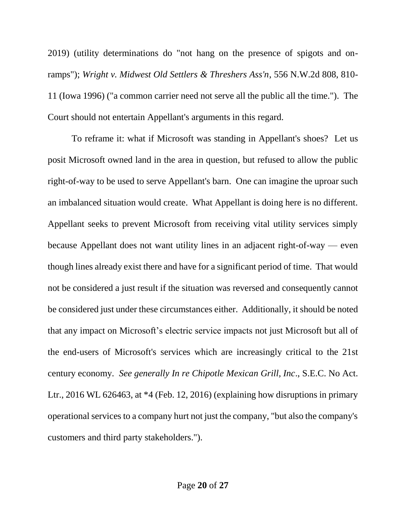2019) (utility determinations do "not hang on the presence of spigots and onramps"); *Wright v. Midwest Old Settlers & Threshers Ass'n*, 556 N.W.2d 808, 810- 11 (Iowa 1996) ("a common carrier need not serve all the public all the time."). The Court should not entertain Appellant's arguments in this regard.

To reframe it: what if Microsoft was standing in Appellant's shoes? Let us posit Microsoft owned land in the area in question, but refused to allow the public right-of-way to be used to serve Appellant's barn. One can imagine the uproar such an imbalanced situation would create. What Appellant is doing here is no different. Appellant seeks to prevent Microsoft from receiving vital utility services simply because Appellant does not want utility lines in an adjacent right-of-way — even though lines already exist there and have for a significant period of time. That would not be considered a just result if the situation was reversed and consequently cannot be considered just under these circumstances either. Additionally, it should be noted that any impact on Microsoft's electric service impacts not just Microsoft but all of the end-users of Microsoft's services which are increasingly critical to the 21st century economy. *See generally In re Chipotle Mexican Grill, Inc*., S.E.C. No Act. Ltr., 2016 WL 626463, at \*4 (Feb. 12, 2016) (explaining how disruptions in primary operational services to a company hurt not just the company, "but also the company's customers and third party stakeholders.").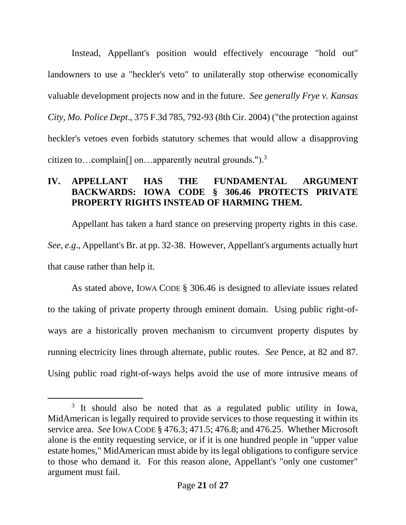Instead, Appellant's position would effectively encourage "hold out" landowners to use a "heckler's veto" to unilaterally stop otherwise economically valuable development projects now and in the future. *See generally Frye v. Kansas City, Mo. Police Dept*., 375 F.3d 785, 792-93 (8th Cir. 2004) ("the protection against heckler's vetoes even forbids statutory schemes that would allow a disapproving citizen to...complain<sup>[]</sup> on...apparently neutral grounds.").<sup>3</sup>

### **IV. APPELLANT HAS THE FUNDAMENTAL ARGUMENT BACKWARDS: IOWA CODE § 306.46 PROTECTS PRIVATE PROPERTY RIGHTS INSTEAD OF HARMING THEM.**

Appellant has taken a hard stance on preserving property rights in this case. *See*, *e.g*., Appellant's Br. at pp. 32-38. However, Appellant's arguments actually hurt that cause rather than help it.

As stated above, IOWA CODE § 306.46 is designed to alleviate issues related to the taking of private property through eminent domain. Using public right-ofways are a historically proven mechanism to circumvent property disputes by running electricity lines through alternate, public routes. *See* Pence, at 82 and 87. Using public road right-of-ways helps avoid the use of more intrusive means of

l

<sup>&</sup>lt;sup>3</sup> It should also be noted that as a regulated public utility in Iowa, MidAmerican is legally required to provide services to those requesting it within its service area. *See* IOWA CODE § 476.3; 471.5; 476.8; and 476.25. Whether Microsoft alone is the entity requesting service, or if it is one hundred people in "upper value estate homes," MidAmerican must abide by its legal obligations to configure service to those who demand it. For this reason alone, Appellant's "only one customer" argument must fail.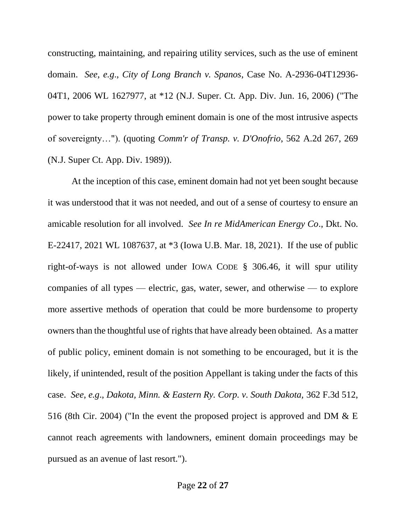constructing, maintaining, and repairing utility services, such as the use of eminent domain. *See*, *e.g*., *City of Long Branch v. Spanos*, Case No. A-2936-04T12936- 04T1, 2006 WL 1627977, at \*12 (N.J. Super. Ct. App. Div. Jun. 16, 2006) ("The power to take property through eminent domain is one of the most intrusive aspects of sovereignty…"). (quoting *Comm'r of Transp. v. D'Onofrio*, 562 A.2d 267, 269 (N.J. Super Ct. App. Div. 1989)).

At the inception of this case, eminent domain had not yet been sought because it was understood that it was not needed, and out of a sense of courtesy to ensure an amicable resolution for all involved. *See In re MidAmerican Energy Co*., Dkt. No. E-22417, 2021 WL 1087637, at \*3 (Iowa U.B. Mar. 18, 2021). If the use of public right-of-ways is not allowed under IOWA CODE § 306.46, it will spur utility companies of all types — electric, gas, water, sewer, and otherwise — to explore more assertive methods of operation that could be more burdensome to property owners than the thoughtful use of rights that have already been obtained. As a matter of public policy, eminent domain is not something to be encouraged, but it is the likely, if unintended, result of the position Appellant is taking under the facts of this case. *See*, *e.g*., *Dakota, Minn. & Eastern Ry. Corp. v. South Dakota,* 362 F.3d 512, 516 (8th Cir. 2004) ("In the event the proposed project is approved and DM & E cannot reach agreements with landowners, eminent domain proceedings may be pursued as an avenue of last resort.").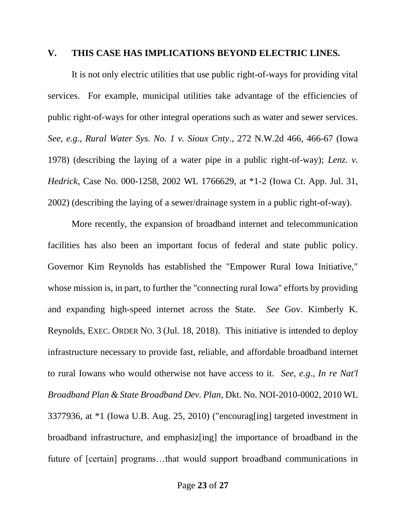#### **V. THIS CASE HAS IMPLICATIONS BEYOND ELECTRIC LINES.**

It is not only electric utilities that use public right-of-ways for providing vital services. For example, municipal utilities take advantage of the efficiencies of public right-of-ways for other integral operations such as water and sewer services. *See*, *e.g*., *Rural Water Sys. No. 1 v. Sioux Cnty*., 272 N.W.2d 466, 466-67 (Iowa 1978) (describing the laying of a water pipe in a public right-of-way); *Lenz. v. Hedrick*, Case No. 000-1258, 2002 WL 1766629, at \*1-2 (Iowa Ct. App. Jul. 31, 2002) (describing the laying of a sewer/drainage system in a public right-of-way).

More recently, the expansion of broadband internet and telecommunication facilities has also been an important focus of federal and state public policy. Governor Kim Reynolds has established the "Empower Rural Iowa Initiative," whose mission is, in part, to further the "connecting rural Iowa" efforts by providing and expanding high-speed internet across the State. *See* Gov. Kimberly K. Reynolds, EXEC. ORDER NO. 3 (Jul. 18, 2018). This initiative is intended to deploy infrastructure necessary to provide fast, reliable, and affordable broadband internet to rural Iowans who would otherwise not have access to it. *See*, *e.g*., *In re Nat'l Broadband Plan & State Broadband Dev. Plan*, Dkt. No. NOI-2010-0002, 2010 WL 3377936, at \*1 (Iowa U.B. Aug. 25, 2010) ("encourag[ing] targeted investment in broadband infrastructure, and emphasiz[ing] the importance of broadband in the future of [certain] programs…that would support broadband communications in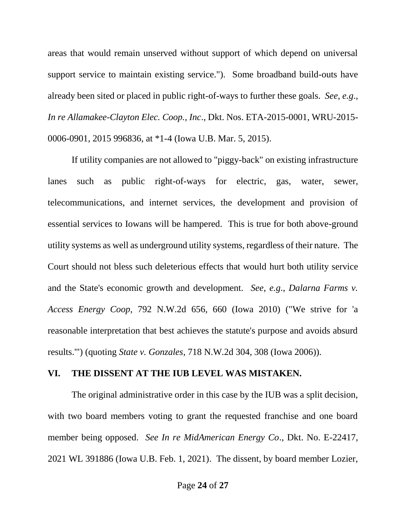areas that would remain unserved without support of which depend on universal support service to maintain existing service."). Some broadband build-outs have already been sited or placed in public right-of-ways to further these goals. *See*, *e.g*., *In re Allamakee-Clayton Elec. Coop., Inc*., Dkt. Nos. ETA-2015-0001, WRU-2015- 0006-0901, 2015 996836, at \*1-4 (Iowa U.B. Mar. 5, 2015).

If utility companies are not allowed to "piggy-back" on existing infrastructure lanes such as public right-of-ways for electric, gas, water, sewer, telecommunications, and internet services, the development and provision of essential services to Iowans will be hampered. This is true for both above-ground utility systems as well as underground utility systems, regardless of their nature. The Court should not bless such deleterious effects that would hurt both utility service and the State's economic growth and development. *See*, *e.g*., *Dalarna Farms v. Access Energy Coop*, 792 N.W.2d 656, 660 (Iowa 2010) ("We strive for 'a reasonable interpretation that best achieves the statute's purpose and avoids absurd results.'") (quoting *State v. Gonzales*, 718 N.W.2d 304, 308 (Iowa 2006)).

#### **VI. THE DISSENT AT THE IUB LEVEL WAS MISTAKEN.**

The original administrative order in this case by the IUB was a split decision, with two board members voting to grant the requested franchise and one board member being opposed. *See In re MidAmerican Energy Co*., Dkt. No. E-22417, 2021 WL 391886 (Iowa U.B. Feb. 1, 2021). The dissent, by board member Lozier,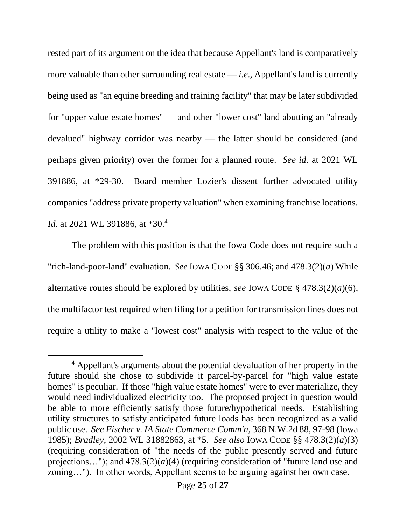rested part of its argument on the idea that because Appellant's land is comparatively more valuable than other surrounding real estate — *i.e*., Appellant's land is currently being used as "an equine breeding and training facility" that may be later subdivided for "upper value estate homes" — and other "lower cost" land abutting an "already devalued" highway corridor was nearby — the latter should be considered (and perhaps given priority) over the former for a planned route. *See id*. at 2021 WL 391886, at \*29-30. Board member Lozier's dissent further advocated utility companies "address private property valuation" when examining franchise locations. *Id*. at 2021 WL 391886, at \*30.<sup>4</sup>

The problem with this position is that the Iowa Code does not require such a "rich-land-poor-land" evaluation. *See* IOWA CODE §§ 306.46; and 478.3(2)(*a*) While alternative routes should be explored by utilities, *see* IOWA CODE § 478.3(2)(*a*)(6), the multifactor test required when filing for a petition for transmission lines does not require a utility to make a "lowest cost" analysis with respect to the value of the

l

<sup>4</sup> Appellant's arguments about the potential devaluation of her property in the future should she chose to subdivide it parcel-by-parcel for "high value estate homes" is peculiar. If those "high value estate homes" were to ever materialize, they would need individualized electricity too. The proposed project in question would be able to more efficiently satisfy those future/hypothetical needs. Establishing utility structures to satisfy anticipated future loads has been recognized as a valid public use. *See Fischer v. IA State Commerce Comm'n*, 368 N.W.2d 88, 97-98 (Iowa 1985); *Bradley*, 2002 WL 31882863, at \*5. *See also* IOWA CODE §§ 478.3(2)(*a*)(3) (requiring consideration of "the needs of the public presently served and future projections..."); and  $478.3(2)(a)(4)$  (requiring consideration of "future land use and zoning…"). In other words, Appellant seems to be arguing against her own case.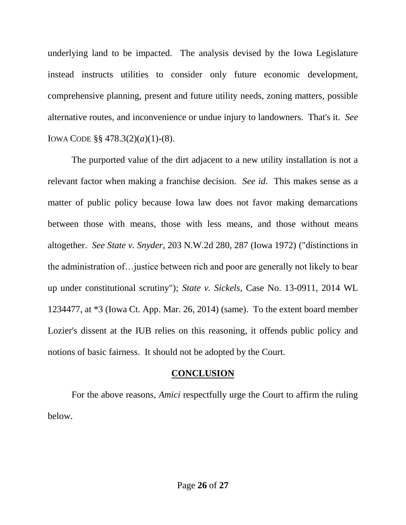underlying land to be impacted. The analysis devised by the Iowa Legislature instead instructs utilities to consider only future economic development, comprehensive planning, present and future utility needs, zoning matters, possible alternative routes, and inconvenience or undue injury to landowners. That's it. *See* IOWA CODE §§ 478.3(2)(*a*)(1)-(8).

The purported value of the dirt adjacent to a new utility installation is not a relevant factor when making a franchise decision. *See id*. This makes sense as a matter of public policy because Iowa law does not favor making demarcations between those with means, those with less means, and those without means altogether. *See State v. Snyder*, 203 N.W.2d 280, 287 (Iowa 1972) ("distinctions in the administration of…justice between rich and poor are generally not likely to bear up under constitutional scrutiny"); *State v. Sickels*, Case No. 13-0911, 2014 WL 1234477, at \*3 (Iowa Ct. App. Mar. 26, 2014) (same). To the extent board member Lozier's dissent at the IUB relies on this reasoning, it offends public policy and notions of basic fairness. It should not be adopted by the Court.

### **CONCLUSION**

For the above reasons, *Amici* respectfully urge the Court to affirm the ruling below.